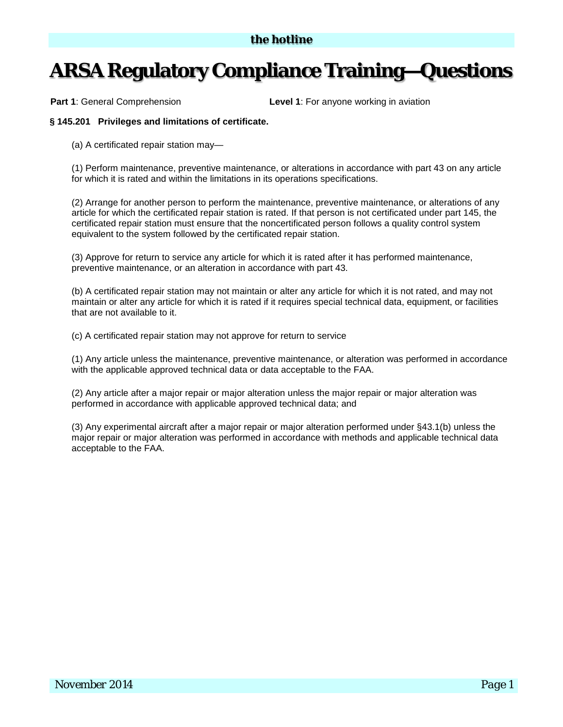## **ARSA Regulatory Compliance Training—Questions**

**Part 1:** General Comprehension **Level 1:** For anyone working in aviation

## **§ 145.201 Privileges and limitations of certificate.**

(a) A certificated repair station may—

(1) Perform maintenance, preventive maintenance, or alterations in accordance with part 43 on any article for which it is rated and within the limitations in its operations specifications.

(2) Arrange for another person to perform the maintenance, preventive maintenance, or alterations of any article for which the certificated repair station is rated. If that person is not certificated under part 145, the certificated repair station must ensure that the noncertificated person follows a quality control system equivalent to the system followed by the certificated repair station.

(3) Approve for return to service any article for which it is rated after it has performed maintenance, preventive maintenance, or an alteration in accordance with part 43.

(b) A certificated repair station may not maintain or alter any article for which it is not rated, and may not maintain or alter any article for which it is rated if it requires special technical data, equipment, or facilities that are not available to it.

(c) A certificated repair station may not approve for return to service

(1) Any article unless the maintenance, preventive maintenance, or alteration was performed in accordance with the applicable approved technical data or data acceptable to the FAA.

(2) Any article after a major repair or major alteration unless the major repair or major alteration was performed in accordance with applicable approved technical data; and

(3) Any experimental aircraft after a major repair or major alteration performed under §43.1(b) unless the major repair or major alteration was performed in accordance with methods and applicable technical data acceptable to the FAA.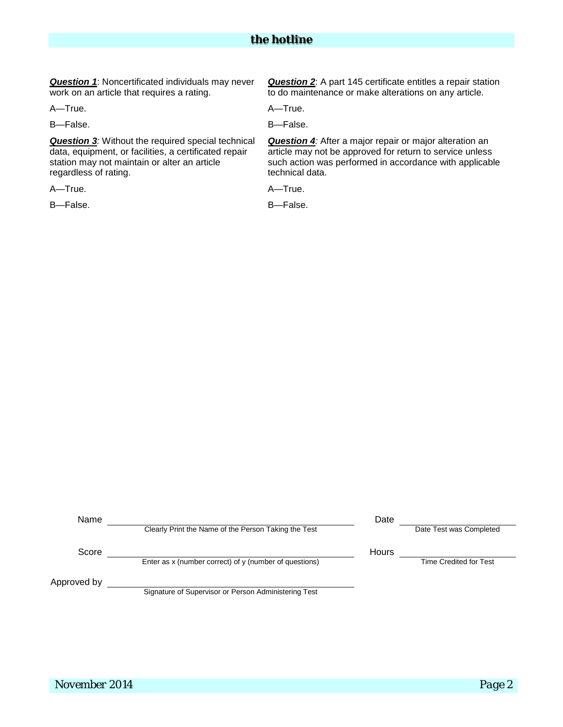*the hotline*

*Question 1*: Noncertificated individuals may never work on an article that requires a rating.

A—True. **A—True.** 

B—False. B—False.

*Question 3:* Without the required special technical data, equipment, or facilities, a certificated repair station may not maintain or alter an article regardless of rating.

A—True. A—True.

*Question 2*: A part 145 certificate entitles a repair station to do maintenance or make alterations on any article.

*Question 4:* After a major repair or major alteration an article may not be approved for return to service unless such action was performed in accordance with applicable technical data.

B—False. B—False.

| Name        |                                                        | Date  |                               |
|-------------|--------------------------------------------------------|-------|-------------------------------|
|             | Clearly Print the Name of the Person Taking the Test   |       | Date Test was Completed       |
| Score       |                                                        | Hours |                               |
|             | Enter as x (number correct) of y (number of questions) |       | <b>Time Credited for Test</b> |
| Approved by |                                                        |       |                               |
|             | Signature of Supervisor or Person Administering Test   |       |                               |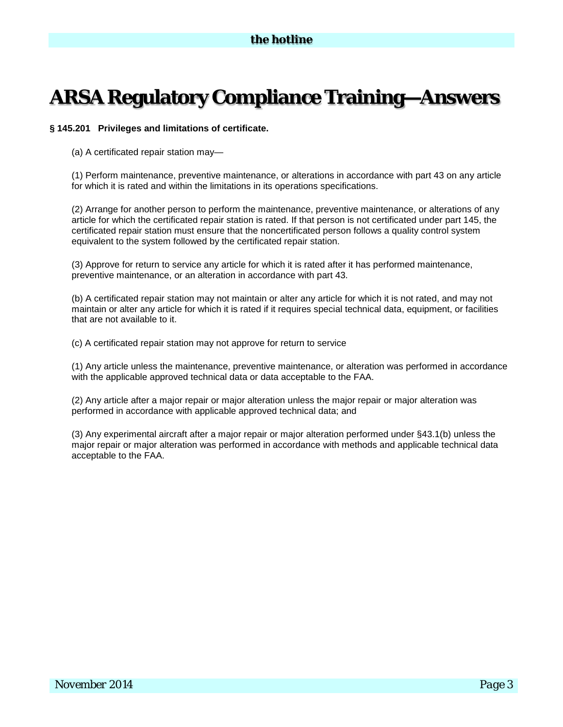## **ARSA Regulatory Compliance Training—Answers**

## **§ 145.201 Privileges and limitations of certificate.**

(a) A certificated repair station may—

(1) Perform maintenance, preventive maintenance, or alterations in accordance with part 43 on any article for which it is rated and within the limitations in its operations specifications.

(2) Arrange for another person to perform the maintenance, preventive maintenance, or alterations of any article for which the certificated repair station is rated. If that person is not certificated under part 145, the certificated repair station must ensure that the noncertificated person follows a quality control system equivalent to the system followed by the certificated repair station.

(3) Approve for return to service any article for which it is rated after it has performed maintenance, preventive maintenance, or an alteration in accordance with part 43.

(b) A certificated repair station may not maintain or alter any article for which it is not rated, and may not maintain or alter any article for which it is rated if it requires special technical data, equipment, or facilities that are not available to it.

(c) A certificated repair station may not approve for return to service

(1) Any article unless the maintenance, preventive maintenance, or alteration was performed in accordance with the applicable approved technical data or data acceptable to the FAA.

(2) Any article after a major repair or major alteration unless the major repair or major alteration was performed in accordance with applicable approved technical data; and

(3) Any experimental aircraft after a major repair or major alteration performed under §43.1(b) unless the major repair or major alteration was performed in accordance with methods and applicable technical data acceptable to the FAA.